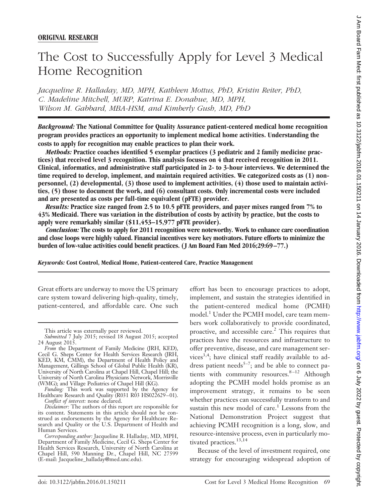# The Cost to Successfully Apply for Level 3 Medical Home Recognition

*Jacqueline R. Halladay, MD, MPH, Kathleen Mottus, PhD, Kristin Reiter, PhD, C. Madeline Mitchell, MURP, Katrina E. Donahue, MD, MPH, Wilson M. Gabbard, MBA-HSM, and Kimberly Gush, MD, PhD*

*Background:* **The National Committee for Quality Assurance patient-centered medical home recognition program provides practices an opportunity to implement medical home activities. Understanding the costs to apply for recognition may enable practices to plan their work.**

*Methods:* **Practice coaches identified 5 exemplar practices (3 pediatric and 2 family medicine practices) that received level 3 recognition. This analysis focuses on 4 that received recognition in 2011. Clinical, informatics, and administrative staff participated in 2- to 3-hour interviews. We determined the time required to develop, implement, and maintain required activities. We categorized costs as (1) nonpersonnel, (2) developmental, (3) those used to implement activities, (4) those used to maintain activities, (5) those to document the work, and (6) consultant costs. Only incremental costs were included and are presented as costs per full-time equivalent (pFTE) provider.**

*Results:* **Practice size ranged from 2.5 to 10.5 pFTE providers, and payer mixes ranged from 7% to 43% Medicaid. There was variation in the distribution of costs by activity by practice, but the costs to apply were remarkably similar (\$11,453–15,977 pFTE provider).**

*Conclusion:* **The costs to apply for 2011 recognition were noteworthy. Work to enhance care coordination and close loops were highly valued. Financial incentives were key motivators. Future efforts to minimize the burden of low-value activities could benefit practices. (J Am Board Fam Med 2016;29:69 –77.)**

*Keywords:* **Cost Control, Medical Home, Patient-centered Care, Practice Management**

Great efforts are underway to move the US primary care system toward delivering high-quality, timely, patient-centered, and affordable care. One such

This article was externally peer reviewed.

effort has been to encourage practices to adopt, implement, and sustain the strategies identified in the patient-centered medical home (PCMH) model.<sup>1</sup> Under the PCMH model, care team members work collaboratively to provide coordinated, proactive, and accessible care.<sup>2</sup> This requires that practices have the resources and infrastructure to offer preventive, disease, and care management services<sup>3,4</sup>; have clinical staff readily available to address patient needs<sup>5-7</sup>; and be able to connect patients with community resources. $8-12$  Although adopting the PCMH model holds promise as an improvement strategy, it remains to be seen whether practices can successfully transform to and sustain this new model of care.<sup>1</sup> Lessons from the National Demonstration Project suggest that achieving PCMH recognition is a long, slow, and resource-intensive process, even in particularly motivated practices.<sup>13,14</sup>

Because of the level of investment required, one strategy for encouraging widespread adoption of

*Submitted* 7 July 2015; revised 18 August 2015; accepted 24 August 2015.

*From* the Department of Family Medicine (JRH, KED), Cecil G. Sheps Center for Health Services Research (JRH, KED, KM, CMM), the Department of Health Policy and Management, Gillings School of Global Public Health (KR), University of North Carolina at Chapel Hill, Chapel Hill; the University of North Carolina Physicians Network, Morrisville (WMG); and Village Pediatrics of Chapel Hill (KG).

*Funding:* This work was supported by the Agency for Healthcare Research and Quality (R031 R03 HS022629-01). *Conflict of interest:* none declared.

*Disclaimer:* The authors of this report are responsible for its content. Statements in this article should not be construed as endorsements by the Agency for Healthcare Research and Quality or the U.S. Department of Health and Human Services.

*Corresponding author:* Jacqueline R. Halladay, MD, MPH, Department of Family Medicine, Cecil G. Sheps Center for Health Services Research, University of North Carolina at Chapel Hill, 590 Manning Dr., Chapel Hill, NC 27599 -E-mail: [Jacqueline\\_halladay@med.unc.edu](mailto:Jacqueline_halladay@med.unc.edu).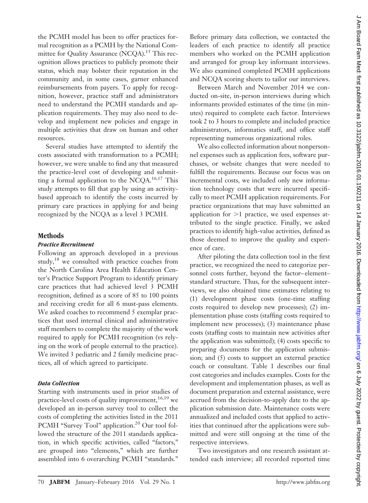the PCMH model has been to offer practices formal recognition as a PCMH by the National Committee for Quality Assurance (NCQA).<sup>15</sup> This recognition allows practices to publicly promote their status, which may bolster their reputation in the community and, in some cases, garner enhanced reimbursements from payers. To apply for recognition, however, practice staff and administrators need to understand the PCMH standards and application requirements. They may also need to develop and implement new policies and engage in multiple activities that draw on human and other resources.

Several studies have attempted to identify the costs associated with transformation to a PCMH; however, we were unable to find any that measured the practice-level cost of developing and submitting a formal application to the NCQA.<sup>16,17</sup> This study attempts to fill that gap by using an activitybased approach to identify the costs incurred by primary care practices in applying for and being recognized by the NCQA as a level 3 PCMH.

#### **Methods**

#### *Practice Recruitment*

Following an approach developed in a previous study, $18$  we consulted with practice coaches from the North Carolina Area Health Education Center's Practice Support Program to identify primary care practices that had achieved level 3 PCMH recognition, defined as a score of 85 to 100 points and receiving credit for all 6 must-pass elements. We asked coaches to recommend 5 exemplar practices that used internal clinical and administrative staff members to complete the majority of the work required to apply for PCMH recognition (vs relying on the work of people external to the practice). We invited 3 pediatric and 2 family medicine practices, all of which agreed to participate.

#### *Data Collection*

Starting with instruments used in prior studies of practice-level costs of quality improvement,  $16,19$  we developed an in-person survey tool to collect the costs of completing the activities listed in the 2011 PCMH "Survey Tool" application.<sup>20</sup> Our tool followed the structure of the 2011 standards application, in which specific activities, called "factors," are grouped into "elements," which are further assembled into 6 overarching PCMH "standards."

Before primary data collection, we contacted the leaders of each practice to identify all practice members who worked on the PCMH application and arranged for group key informant interviews. We also examined completed PCMH applications and NCQA scoring sheets to tailor our interviews.

Between March and November 2014 we conducted on-site, in-person interviews during which informants provided estimates of the time (in minutes) required to complete each factor. Interviews took 2 to 3 hours to complete and included practice administrators, informatics staff, and office staff representing numerous organizational roles.

We also collected information about nonpersonnel expenses such as application fees, software purchases, or website changes that were needed to fulfill the requirements. Because our focus was on incremental costs, we included only new information technology costs that were incurred specifically to meet PCMH application requirements. For practice organizations that may have submitted an application for  $>1$  practice, we used expenses attributed to the single practice. Finally, we asked practices to identify high-value activities, defined as those deemed to improve the quality and experience of care.

After piloting the data collection tool in the first practice, we recognized the need to categorize personnel costs further, beyond the factor-elementstandard structure. Thus, for the subsequent interviews, we also obtained time estimates relating to (1) development phase costs (one-time staffing costs required to develop new processes); (2) implementation phase costs (staffing costs required to implement new processes); (3) maintenance phase costs (staffing costs to maintain new activities after the application was submitted); (4) costs specific to preparing documents for the application submission; and (5) costs to support an external practice coach or consultant. Table 1 describes our final cost categories and includes examples. Costs for the development and implementation phases, as well as document preparation and external assistance, were accrued from the decision-to-apply date to the application submission date. Maintenance costs were annualized and included costs that applied to activities that continued after the applications were submitted and were still ongoing at the time of the respective interviews.

Two investigators and one research assistant attended each interview; all recorded reported time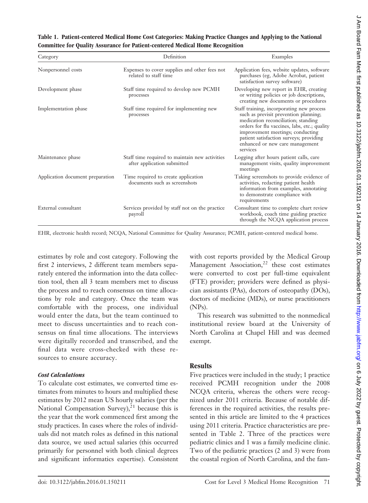| J Am Board Fam Mec: first published as 10.3122/jabfm.2016.01.150211 on 14 January 2016. Downloaded from ht |
|------------------------------------------------------------------------------------------------------------|
|                                                                                                            |
|                                                                                                            |
|                                                                                                            |
|                                                                                                            |
|                                                                                                            |
|                                                                                                            |
|                                                                                                            |
|                                                                                                            |
|                                                                                                            |
|                                                                                                            |
|                                                                                                            |
|                                                                                                            |
|                                                                                                            |
|                                                                                                            |
|                                                                                                            |
| こと りこり りょう けいけい とうり                                                                                        |
|                                                                                                            |
|                                                                                                            |
|                                                                                                            |
|                                                                                                            |
|                                                                                                            |
|                                                                                                            |
|                                                                                                            |
|                                                                                                            |

| Category                         | Definition                                                                    | Examples                                                                                                                                                                                                                                                                                                |
|----------------------------------|-------------------------------------------------------------------------------|---------------------------------------------------------------------------------------------------------------------------------------------------------------------------------------------------------------------------------------------------------------------------------------------------------|
| Nonpersonnel costs               | Expenses to cover supplies and other fees not<br>related to staff time        | Application fees, website updates, software<br>purchases (eg, Adobe Acrobat, patient<br>satisfaction survey software)                                                                                                                                                                                   |
| Development phase                | Staff time required to develop new PCMH<br>processes                          | Developing new report in EHR, creating<br>or writing policies or job descriptions,<br>creating new documents or procedures                                                                                                                                                                              |
| Implementation phase             | Staff time required for implementing new<br>processes                         | Staff training, incorporating new process<br>such as previsit prevention planning;<br>medication reconciliation; standing<br>orders for flu vaccines, labs, etc.; quality<br>improvement meetings; conducting<br>patient satisfaction surveys; providing<br>enhanced or new care management<br>services |
| Maintenance phase                | Staff time required to maintain new activities<br>after application submitted | Logging after hours patient calls, care<br>management visits, quality improvement<br>meetings                                                                                                                                                                                                           |
| Application document preparation | Time required to create application<br>documents such as screenshots          | Taking screenshots to provide evidence of<br>activities, redacting patient health<br>information from examples, annotating<br>to demonstrate compliance with<br>requirements                                                                                                                            |
| External consultant              | Services provided by staff not on the practice<br>payroll                     | Consultant time to complete chart review<br>workbook, coach time guiding practice<br>through the NCQA application process                                                                                                                                                                               |

**Table 1. Patient-centered Medical Home Cost Categories: Making Practice Changes and Applying to the National Committee for Quality Assurance for Patient-centered Medical Home Recognition**

EHR, electronic health record; NCQA, National Committee for Quality Assurance; PCMH, patient-centered medical home.

estimates by role and cost category. Following the first 2 interviews, 2 different team members separately entered the information into the data collection tool, then all 3 team members met to discuss the process and to reach consensus on time allocations by role and category. Once the team was comfortable with the process, one individual would enter the data, but the team continued to meet to discuss uncertainties and to reach consensus on final time allocations. The interviews were digitally recorded and transcribed, and the final data were cross-checked with these resources to ensure accuracy.

## *Cost Calculations*

To calculate cost estimates, we converted time estimates from minutes to hours and multiplied these estimates by 2012 mean US hourly salaries (per the National Compensation Survey), $^{21}$  because this is the year that the work commenced first among the study practices. In cases where the roles of individuals did not match roles as defined in this national data source, we used actual salaries (this occurred primarily for personnel with both clinical degrees and significant informatics expertise). Consistent

with cost reports provided by the Medical Group Management Association,<sup>22</sup> these cost estimates were converted to cost per full-time equivalent (FTE) provider; providers were defined as physician assistants (PAs), doctors of osteopathy (DOs), doctors of medicine (MDs), or nurse practitioners (NPs).

This research was submitted to the nonmedical institutional review board at the University of North Carolina at Chapel Hill and was deemed exempt.

# **Results**

Five practices were included in the study; 1 practice received PCMH recognition under the 2008 NCQA criteria, whereas the others were recognized under 2011 criteria. Because of notable differences in the required activities, the results presented in this article are limited to the 4 practices using 2011 criteria. Practice characteristics are presented in Table 2. Three of the practices were pediatric clinics and 1 was a family medicine clinic. Two of the pediatric practices (2 and 3) were from the coastal region of North Carolina, and the fam-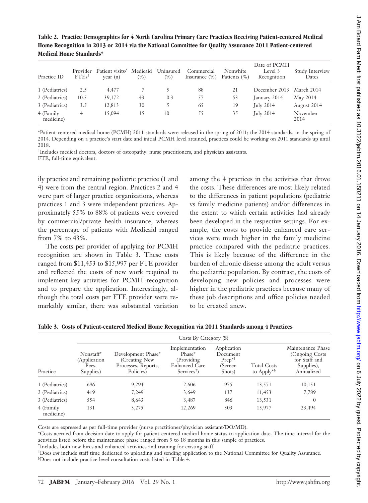| Table 2. Practice Demographics for 4 North Carolina Primary Care Practices Receiving Patient-centered Medical |
|---------------------------------------------------------------------------------------------------------------|
| Home Recognition in 2013 or 2014 via the National Committee for Quality Assurance 2011 Patient-centered       |
| Medical Home Standards*                                                                                       |

| Practice ID             | Provider<br>$FTEs^{\dagger}$ | Patient visits/<br>year (n) | Medicaid<br>(%) | Uninsured<br>$(\%)$ | Commercial<br>Insurance $(\%)$ | Nonwhite<br>Patients (%) | Date of PCMH<br>Level 3<br>Recognition | Study Interview<br>Dates |
|-------------------------|------------------------------|-----------------------------|-----------------|---------------------|--------------------------------|--------------------------|----------------------------------------|--------------------------|
| 1 (Pediatrics)          | 2.5                          | 4,477                       |                 |                     | 88                             | 21                       | December 2013                          | March 2014               |
| 2 (Pediatrics)          | 10.5                         | 39,172                      | 43              | 0.3                 | 57                             | 53                       | January 2014                           | May 2014                 |
| 3 (Pediatrics)          | 3.5                          | 12,813                      | 30              |                     | 65                             | 19                       | <b>July 2014</b>                       | August 2014              |
| 4 (Family)<br>medicine) | 4                            | 15.094                      | 15              | 10                  | 55                             | 35                       | <b>July 2014</b>                       | November<br>2014         |

\*Patient-centered medical home (PCMH) 2011 standards were released in the spring of 2011; the 2014 standards, in the spring of 2014. Depending on a practice's start date and initial PCMH level attained, practices could be working on 2011 standards up until 2018.

† Includes medical doctors, doctors of osteopathy, nurse practitioners, and physician assistants. FTE, full-time equivalent.

ily practice and remaining pediatric practice (1 and 4) were from the central region. Practices 2 and 4 were part of larger practice organizations, whereas practices 1 and 3 were independent practices. Approximately 55% to 88% of patients were covered by commercial/private health insurance, whereas the percentage of patients with Medicaid ranged from 7% to 43%.

The costs per provider of applying for PCMH recognition are shown in Table 3. These costs ranged from \$11,453 to \$15,997 per FTE provider and reflected the costs of new work required to implement key activities for PCMH recognition and to prepare the application. Interestingly, although the total costs per FTE provider were remarkably similar, there was substantial variation

among the 4 practices in the activities that drove the costs. These differences are most likely related to the differences in patient populations (pediatric vs family medicine patients) and/or differences in the extent to which certain activities had already been developed in the respective settings. For example, the costs to provide enhanced care services were much higher in the family medicine practice compared with the pediatric practices. This is likely because of the difference in the burden of chronic disease among the adult versus the pediatric population. By contrast, the costs of developing new policies and processes were higher in the pediatric practices because many of these job descriptions and office policies needed to be created anew.

|  |  | Table 3. Costs of Patient-centered Medical Home Recognition via 2011 Standards among 4 Practices |
|--|--|--------------------------------------------------------------------------------------------------|
|  |  |                                                                                                  |

| Practice                |                                                 | Costs By Category (\$)                                                  |                                                                                        |                                                              |                                               |                                                                                  |  |  |  |  |  |
|-------------------------|-------------------------------------------------|-------------------------------------------------------------------------|----------------------------------------------------------------------------------------|--------------------------------------------------------------|-----------------------------------------------|----------------------------------------------------------------------------------|--|--|--|--|--|
|                         | Nonstaff*<br>(Application<br>Fees.<br>Supplies) | Development Phase*<br>(Creating New<br>Processes, Reports,<br>Policies) | Implementation<br>Phase*<br>(Providing)<br>Enhanced Care<br>$S$ ervices <sup>†</sup> ) | Application<br>Document<br>$Prep^{*+}$<br>(Screen)<br>Shots) | <b>Total Costs</b><br>to Apply* $\mathcal{S}$ | Maintenance Phase<br>(Ongoing Costs<br>for Staff and<br>Supplies),<br>Annualized |  |  |  |  |  |
| 1 (Pediatrics)          | 696                                             | 9,294                                                                   | 2,606                                                                                  | 975                                                          | 13,571                                        | 10,151                                                                           |  |  |  |  |  |
| 2 (Pediatrics)          | 419                                             | 7,249                                                                   | 3,649                                                                                  | 137                                                          | 11,453                                        | 7,789                                                                            |  |  |  |  |  |
| 3 (Pediatrics)          | 554                                             | 8,643                                                                   | 3,487                                                                                  | 846                                                          | 13,531                                        | $\Omega$                                                                         |  |  |  |  |  |
| 4 (Family)<br>medicine) | 131                                             | 3,275                                                                   | 12,269                                                                                 | 303                                                          | 15,977                                        | 23,494                                                                           |  |  |  |  |  |

Costs are expressed as per full-time provider (nurse practitioner/physician assistant/DO/MD).

\*Costs accrued from decision date to apply for patient-centered medical home status to application date. The time interval for the activities listed before the maintenance phase ranged from 9 to 18 months in this sample of practices.

† Includes both new hires and enhanced activities and training for existing staff.

‡ Does *not* include staff time dedicated to uploading and sending application to the National Committee for Quality Assurance. § Does not include practice level consultation costs listed in Table 4.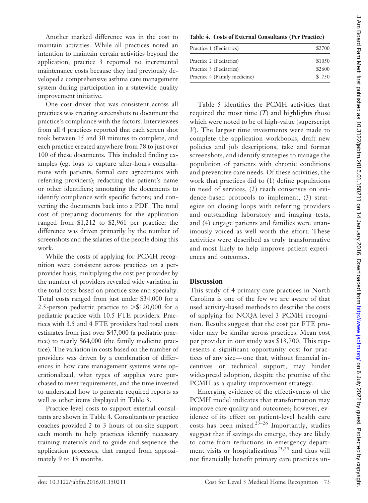Another marked difference was in the cost to maintain activities. While all practices noted an intention to maintain certain activities beyond the application, practice 3 reported no incremental maintenance costs because they had previously developed a comprehensive asthma care management system during participation in a statewide quality improvement initiative.

One cost driver that was consistent across all practices was creating screenshots to document the practice's compliance with the factors. Interviewees from all 4 practices reported that each screen shot took between 15 and 30 minutes to complete, and each practice created anywhere from 78 to just over 100 of these documents. This included finding examples (eg, logs to capture after-hours consultations with patients, formal care agreements with referring providers); redacting the patient's name or other identifiers; annotating the documents to identify compliance with specific factors; and converting the documents back into a PDF. The total cost of preparing documents for the application ranged from \$1,212 to \$2,961 per practice; the difference was driven primarily by the number of screenshots and the salaries of the people doing this work.

While the costs of applying for PCMH recognition were consistent across practices on a perprovider basis, multiplying the cost per provider by the number of providers revealed wide variation in the total costs based on practice size and specialty. Total costs ranged from just under \$34,000 for a 2.5-person pediatric practice to  $> $120,000$  for a pediatric practice with 10.5 FTE providers. Practices with 3.5 and 4 FTE providers had total costs estimates from just over \$47,000 (a pediatric practice) to nearly \$64,000 (the family medicine practice). The variation in costs based on the number of providers was driven by a combination of differences in how care management systems were operationalized, what types of supplies were purchased to meet requirements, and the time invested to understand how to generate required reports as well as other items displayed in Table 3.

Practice-level costs to support external consultants are shown in Table 4. Consultants or practice coaches provided 2 to 3 hours of on-site support each month to help practices identify necessary training materials and to guide and sequence the application processes, that ranged from approximately 9 to 18 months.

#### **Table 4. Costs of External Consultants (Per Practice)**

| Practice 1 (Pediatrics)      | \$2700 |
|------------------------------|--------|
| Practice 2 (Pediatrics)      | \$1050 |
| Practice 3 (Pediatrics)      | \$2600 |
| Practice 4 (Family medicine) | \$ 750 |

Table 5 identifies the PCMH activities that required the most time (*T*) and highlights those which were noted to be of high-value (superscript *V*). The largest time investments were made to complete the application workbooks, draft new policies and job descriptions, take and format screenshots, and identify strategies to manage the population of patients with chronic conditions and preventive care needs. Of these activities, the work that practices did to (1) define populations in need of services, (2) reach consensus on evidence-based protocols to implement, (3) strategize on closing loops with referring providers and outstanding laboratory and imaging tests, and (4) engage patients and families were unanimously voiced as well worth the effort. These activities were described as truly transformative and most likely to help improve patient experiences and outcomes.

### **Discussion**

This study of 4 primary care practices in North Carolina is one of the few we are aware of that used activity-based methods to describe the costs of applying for NCQA level 3 PCMH recognition. Results suggest that the cost per FTE provider may be similar across practices. Mean cost per provider in our study was \$13,700. This represents a significant opportunity cost for practices of any size— one that, without financial incentives or technical support, may hinder widespread adoption, despite the promise of the PCMH as a quality improvement strategy.

Emerging evidence of the effectiveness of the PCMH model indicates that transformation may improve care quality and outcomes; however, evidence of its effect on patient-level health care costs has been mixed.<sup>23-26</sup> Importantly, studies suggest that if savings do emerge, they are likely to come from reductions in emergency department visits or hospitalizations<sup>23,25</sup> and thus will not financially benefit primary care practices un-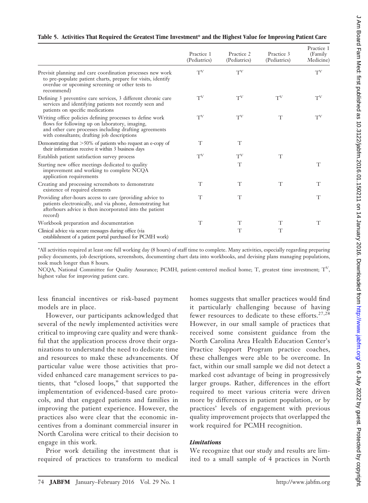|  |  |  | Table 5. Activities That Required the Greatest Time Investment* and the Highest Value for Improving Patient Care |  |  |
|--|--|--|------------------------------------------------------------------------------------------------------------------|--|--|

|                                                                                                                                                                                                                      | Practice 1<br>(Pediatrics) | Practice 2<br>(Pediatrics) | Practice 3<br>(Pediatrics) | Practice 1<br>(Family)<br>Medicine) |
|----------------------------------------------------------------------------------------------------------------------------------------------------------------------------------------------------------------------|----------------------------|----------------------------|----------------------------|-------------------------------------|
| Previsit planning and care coordination processes new work<br>to pre-populate patient charts, prepare for visits, identify<br>overdue or upcoming screening or other tests to<br>recommend)                          | $T^{V}$                    | $T^{V}$                    |                            | $T^{V}$                             |
| Defining 3 preventive care services, 3 different chronic care<br>services and identifying patients not recently seen and<br>patients on specific medications                                                         | $T^{V}$                    | $T^V$                      | $T^{V}$                    | $T^{V}$                             |
| Writing office policies defining processes to define work<br>flows for following up on laboratory, imaging,<br>and other care processes including drafting agreements<br>with consultants; drafting job descriptions | $T^V$                      | $T^{V}$                    | T                          | $T^{V}$                             |
| Demonstrating that >50% of patients who request an e-copy of<br>their information receive it within 3 business days                                                                                                  | T                          | T                          |                            |                                     |
| Establish patient satisfaction survey process                                                                                                                                                                        | $T^{V}$                    | $T^{V}$                    | T                          |                                     |
| Starting new office meetings dedicated to quality<br>improvement and working to complete NCQA<br>application requirements                                                                                            |                            | T                          |                            | T                                   |
| Creating and processing screenshots to demonstrate<br>existence of required elements                                                                                                                                 | T                          | T                          | T                          | T                                   |
| Providing after-hours access to care (providing advice to<br>patients electronically, and via phone, demonstrating hat<br>afterhours advice is then incorporated into the patient<br>record)                         | T                          | T                          |                            | T                                   |
| Workbook preparation and documentation                                                                                                                                                                               | T                          | T                          | T                          | T                                   |
| Clinical advice via secure messages during office (via<br>establishment of a patient portal purchased for PCMH work)                                                                                                 |                            | T                          | T                          |                                     |

\*All activities required at least one full working day (8 hours) of staff time to complete. Many activities, especially regarding preparing policy documents, job descriptions, screenshots, documenting chart data into workbooks, and devising plans managing populations, took much longer than 8 hours.

NCQA, National Committee for Quality Assurance; PCMH, patient-centered medical home; T, greatest time investment; TV, highest value for improving patient care.

less financial incentives or risk-based payment models are in place.

However, our participants acknowledged that several of the newly implemented activities were critical to improving care quality and were thankful that the application process drove their organizations to understand the need to dedicate time and resources to make these advancements. Of particular value were those activities that provided enhanced care management services to patients, that "closed loops," that supported the implementation of evidenced-based care protocols, and that engaged patients and families in improving the patient experience. However, the practices also were clear that the economic incentives from a dominant commercial insurer in North Carolina were critical to their decision to engage in this work.

Prior work detailing the investment that is required of practices to transform to medical

homes suggests that smaller practices would find it particularly challenging because of having fewer resources to dedicate to these efforts.<sup>27,28</sup> However, in our small sample of practices that received some consistent guidance from the North Carolina Area Health Education Center's Practice Support Program practice coaches, these challenges were able to be overcome. In fact, within our small sample we did not detect a marked cost advantage of being in progressively larger groups. Rather, differences in the effort required to meet various criteria were driven more by differences in patient population, or by practices' levels of engagement with previous quality improvement projects that overlapped the work required for PCMH recognition.

## *Limitations*

We recognize that our study and results are limited to a small sample of 4 practices in North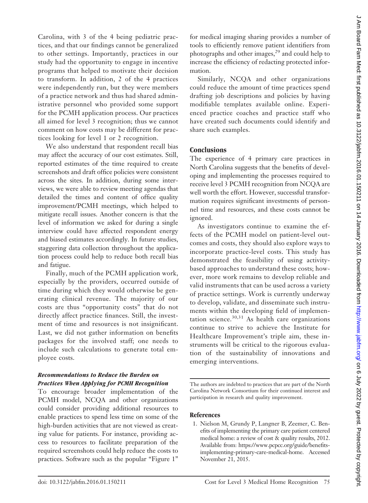Carolina, with 3 of the 4 being pediatric practices, and that our findings cannot be generalized to other settings. Importantly, practices in our study had the opportunity to engage in incentive programs that helped to motivate their decision to transform. In addition, 2 of the 4 practices were independently run, but they were members of a practice network and thus had shared administrative personnel who provided some support for the PCMH application process. Our practices all aimed for level 3 recognition; thus we cannot comment on how costs may be different for practices looking for level 1 or 2 recognition.

We also understand that respondent recall bias may affect the accuracy of our cost estimates. Still, reported estimates of the time required to create screenshots and draft office policies were consistent across the sites. In addition, during some interviews, we were able to review meeting agendas that detailed the times and content of office quality improvement/PCMH meetings, which helped to mitigate recall issues. Another concern is that the level of information we asked for during a single interview could have affected respondent energy and biased estimates accordingly. In future studies, staggering data collection throughout the application process could help to reduce both recall bias and fatigue.

Finally, much of the PCMH application work, especially by the providers, occurred outside of time during which they would otherwise be generating clinical revenue. The majority of our costs are thus "opportunity costs" that do not directly affect practice finances. Still, the investment of time and resources is not insignificant. Last, we did not gather information on benefits packages for the involved staff; one needs to include such calculations to generate total employee costs.

# *Recommendations to Reduce the Burden on Practices When Applying for PCMH Recognition*

To encourage broader implementation of the PCMH model, NCQA and other organizations could consider providing additional resources to enable practices to spend less time on some of the high-burden activities that are not viewed as creating value for patients. For instance, providing access to resources to facilitate preparation of the required screenshots could help reduce the costs to practices. Software such as the popular "Figure 1"

for medical imaging sharing provides a number of tools to efficiently remove patient identifiers from photographs and other images,<sup>29</sup> and could help to increase the efficiency of redacting protected information.

Similarly, NCQA and other organizations could reduce the amount of time practices spend drafting job descriptions and policies by having modifiable templates available online. Experienced practice coaches and practice staff who have created such documents could identify and share such examples.

# **Conclusions**

The experience of 4 primary care practices in North Carolina suggests that the benefits of developing and implementing the processes required to receive level 3 PCMH recognition from NCQA are well worth the effort. However, successful transformation requires significant investments of personnel time and resources, and these costs cannot be ignored.

As investigators continue to examine the effects of the PCMH model on patient-level outcomes and costs, they should also explore ways to incorporate practice-level costs. This study has demonstrated the feasibility of using activitybased approaches to understand these costs; however, more work remains to develop reliable and valid instruments that can be used across a variety of practice settings. Work is currently underway to develop, validate, and disseminate such instruments within the developing field of implementation science. $30,31$  As health care organizations continue to strive to achieve the Institute for Healthcare Improvement's triple aim, these instruments will be critical to the rigorous evaluation of the sustainability of innovations and emerging interventions.

The authors are indebted to practices that are part of the North Carolina Network Consortium for their continued interest and participation in research and quality improvement.

## **References**

1. Nielson M, Grundy P, Langner B, Zeemer, C. Benefits of implementing the primary care patient centered medical home: a review of cost & quality results, 2012. Available from: [https://www.pcpcc.org/guide/benefits](https://www.pcpcc.org/guide/benefits-implementing-primary-care-medical-home)[implementing-primary-care-medical-home.](https://www.pcpcc.org/guide/benefits-implementing-primary-care-medical-home) Accessed November 21, 2015.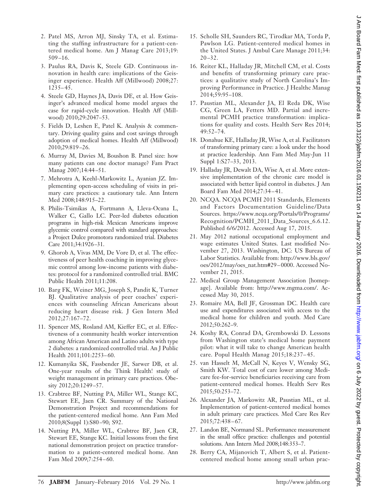- 2. Patel MS, Arron MJ, Sinsky TA, et al. Estimating the staffing infrastructure for a patient-centered medical home. Am J Manag Care 2013;19: 509 –16.
- 3. Paulus RA, Davis K, Steele GD. Continuous innovation in health care: implications of the Geisinger experience. Health Aff (Millwood) 2008;27: 1235– 45.
- 4. Steele GD, Haynes JA, Davis DE, et al. How Geisinger's advanced medical home model argues the case for rapid-cycle innovation. Health Aff (Millwood) 2010;29:2047–53.
- 5. Fields D, Leshen E, Patel K. Analysis & commentary. Driving quality gains and cost savings through adoption of medical homes. Health Aff (Millwood) 2010;29:819 –26.
- 6. Murray M, Davies M, Boushon B. Panel size: how many patients can one doctor manage? Fam Pract Manag 2007;14:44 –51.
- 7. Mehrotra A, Keehl-Markowitz L, Ayanian JZ. Implementing open-access scheduling of visits in primary care practices: a cautionary tale. Ann Intern Med 2008;148:915–22.
- 8. Philis-Tsimikas A, Fortmann A, Lleva-Ocana L, Walker C, Gallo LC. Peer-led diabetes education programs in high-risk Mexican Americans improve glycemic control compared with standard approaches: a Project Dulce promotora randomized trial. Diabetes Care 2011;34:1926-31.
- 9. Ghorob A, Vivas MM, De Vore D, et al. The effectiveness of peer health coaching in improving glycemic control among low-income patients with diabetes: protocol for a randomized controlled trial. BMC Public Health 2011;11:208.
- 10. Barg FK, Weiner MG, Joseph S, Pandit K, Turner BJ. Qualitative analysis of peer coaches' experiences with counseling African Americans about reducing heart disease risk. J Gen Intern Med 2012;27:167–72.
- 11. Spencer MS, Rosland AM, Kieffer EC, et al. Effectiveness of a community health worker intervention among African American and Latino adults with type 2 diabetes: a randomized controlled trial. An J Public Health 2011;101:2253-60.
- 12. Kumanyika SK, Fassbender JE, Sarwer DB, et al. One-year results of the Think Health! study of weight management in primary care practices. Obesity 2012;20:1249 –57.
- 13. Crabtree BF, Nutting PA, Miller WL, Stange KC, Stewart EE, Jaen CR. Summary of the National Demonstration Project and recommendations for the patient-centered medical home. Ann Fam Med 2010;8(Suppl 1):S80 –90; S92.
- 14. Nutting PA, Miller WL, Crabtree BF, Jaen CR, Stewart EE, Stange KC. Initial lessons from the first national demonstration project on practice transformation to a patient-centered medical home. Ann Fam Med 2009;7:254 – 60.
- 15. Scholle SH, Saunders RC, Tirodkar MA, Torda P, Pawlson LG. Patient-centered medical homes in the United States. J Ambul Care Manage 2011;34:  $20 - 32$ .
- 16. Reiter KL, Halladay JR, Mitchell CM, et al. Costs and benefits of transforming primary care practices: a qualitative study of North Carolina's Improving Performance in Practice. J Healthc Manag 2014;59:95–108.
- 17. Paustian ML, Alexander JA, El Reda DK, Wise CG, Green LA, Fetters MD. Partial and incremental PCMH practice transformation: implications for quality and costs. Health Serv Res 2014; 49:52–74.
- 18. Donahue KE, Halladay JR, Wise A, et al. Facilitators of transforming primary care: a look under the hood at practice leadership. Ann Fam Med May-Jun 11 Suppl 1:S27–33, 2013.
- 19. Halladay JR, Dewalt DA, Wise A, et al. More extensive implementation of the chronic care model is associated with better lipid control in diabetes. J Am Board Fam Med 2014;27:34 – 41.
- 20. NCQA. NCQA PCMH 2011 Standards, Elements and Factors Documentation Guideline/Data Sources. [https://www.ncqa.org/Portals/0/Programs/](https://www.ncqa.org/Portals/0/Programs/Recognition/PCMH_2011_Data_Sources_6.6.12) [Recognition/PCMH\\_2011\\_Data\\_Sources\\_6.6.12.](https://www.ncqa.org/Portals/0/Programs/Recognition/PCMH_2011_Data_Sources_6.6.12) Published 6/6/2012. Accessed Aug 17, 2015.
- 21. May 2012 national occupational employment and wage estimates United States. Last modified November 27, 2013. Washington, DC: US Bureau of Labor Statistics. Available from: [http://www.bls.gov/](http://www.bls.gov/oes/2012/may/oes_nat.htm#29-0000) [oes/2012/may/oes\\_nat.htm#29 – 0000.](http://www.bls.gov/oes/2012/may/oes_nat.htm#29-0000) Accessed November 21, 2015.
- 22. Medical Group Management Association [homepage]. Available from: [http://www.mgma.com/.](http://www.mgma.com/) Accessed May 30, 2015.
- 23. Romaire MA, Bell JF, Grossman DC. Health care use and expenditures associated with access to the medical home for children and youth. Med Care 2012;50:262–9.
- 24. Koshy RA, Conrad DA, Grembowski D. Lessons from Washington state's medical home payment pilot: what it will take to change American health care. Popul Health Manag 2015;18:237– 45.
- 25. van Hasselt M, McCall N, Keyes V, Wensky SG, Smith KW. Total cost of care lower among Medicare fee-for-service beneficiaries receiving care from patient-centered medical homes. Health Serv Res 2015;50:253–72.
- 26. Alexander JA, Markowitz AR, Paustian ML, et al. Implementation of patient-centered medical homes in adult primary care practices. Med Care Res Rev 2015;72:438 – 67.
- 27. Landon BE, Normand SL. Performance measurement in the small office practice: challenges and potential solutions. Ann Intern Med 2008;148:353–7.
- 28. Berry CA, Mijanovich T, Albert S, et al. Patientcentered medical home among small urban prac-